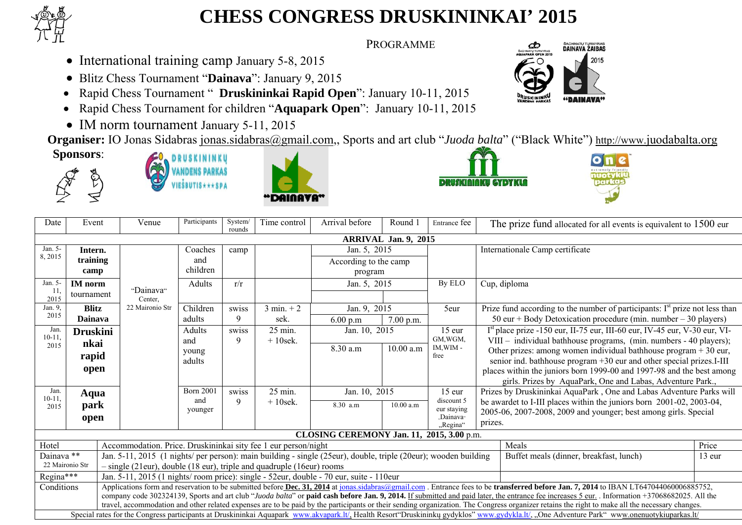

## **CHESS CONGRESS DRUSKININKAI' 2015**

PROGRAMME

- International training camp January 5-8, 2015
- Blitz Chess Tournament "**Dainava**": January 9, 2015
- •Rapid Chess Tournament " **Druskininkai Rapid Open**": January 10-11, 2015
- Rapid Chess Tournament for children "**Aquapark Open**": January 10-11, 2015
- IM norm tournament January 5-11, 2015

**Organiser:** IO Jonas Sidabras jonas.sidabras@gmail.com,, Sports and art club "*Juoda balta*" ("Black White") http://www.juodabalta.org **Sponsors**:











SACHMATU TURNYRAS<br>**DAINAVA ŽAIBAS** 

2015

ය

| Date                                                                                                                                                                                                                                                                                                                                                                                           | Event                                                                                                                                                                                      | Venue                                                                                                           | Participants     | System/<br>rounds | Time control         | Arrival before                            | Round 1   | Entrance fee                                                                | The prize fund allocated for all events is equivalent to 1500 eur                                                                   |  |  |  |  |
|------------------------------------------------------------------------------------------------------------------------------------------------------------------------------------------------------------------------------------------------------------------------------------------------------------------------------------------------------------------------------------------------|--------------------------------------------------------------------------------------------------------------------------------------------------------------------------------------------|-----------------------------------------------------------------------------------------------------------------|------------------|-------------------|----------------------|-------------------------------------------|-----------|-----------------------------------------------------------------------------|-------------------------------------------------------------------------------------------------------------------------------------|--|--|--|--|
|                                                                                                                                                                                                                                                                                                                                                                                                | <b>ARRIVAL Jan. 9, 2015</b>                                                                                                                                                                |                                                                                                                 |                  |                   |                      |                                           |           |                                                                             |                                                                                                                                     |  |  |  |  |
| $Jan. 5-$                                                                                                                                                                                                                                                                                                                                                                                      | Intern.                                                                                                                                                                                    |                                                                                                                 | Coaches          | camp              |                      | Jan. 5, 2015<br>According to the camp     |           |                                                                             | Internationale Camp certificate                                                                                                     |  |  |  |  |
| 8,2015                                                                                                                                                                                                                                                                                                                                                                                         | training                                                                                                                                                                                   |                                                                                                                 | and              |                   |                      |                                           |           |                                                                             |                                                                                                                                     |  |  |  |  |
|                                                                                                                                                                                                                                                                                                                                                                                                | camp                                                                                                                                                                                       |                                                                                                                 | children         |                   | program              |                                           |           |                                                                             |                                                                                                                                     |  |  |  |  |
| Jan. 5-                                                                                                                                                                                                                                                                                                                                                                                        | <b>IM</b> norm                                                                                                                                                                             |                                                                                                                 | Adults           | r/r               |                      | Jan. 5, 2015                              |           | By ELO                                                                      | Cup, diploma                                                                                                                        |  |  |  |  |
| -11<br>2015                                                                                                                                                                                                                                                                                                                                                                                    | tournament                                                                                                                                                                                 | "Dainava"<br>Center.                                                                                            |                  |                   |                      |                                           |           |                                                                             |                                                                                                                                     |  |  |  |  |
| Jan. 9.                                                                                                                                                                                                                                                                                                                                                                                        | <b>Blitz</b>                                                                                                                                                                               | 22 Maironio Str                                                                                                 | Children         | swiss             | $3 \text{ min.} + 2$ | Jan. 9, 2015                              |           | 5eur                                                                        | Prize fund according to the number of participants: $Ist$ prize not less than                                                       |  |  |  |  |
| 2015                                                                                                                                                                                                                                                                                                                                                                                           | <b>Dainava</b>                                                                                                                                                                             |                                                                                                                 | adults           | 9                 | sek.                 | 6.00 p.m                                  | 7.00 p.m. |                                                                             | 50 eur + Body Detoxication procedure (min. number – 30 players)                                                                     |  |  |  |  |
| Jan.                                                                                                                                                                                                                                                                                                                                                                                           | <b>Druskini</b>                                                                                                                                                                            | Adults<br>swiss                                                                                                 |                  | $25$ min.         | Jan. 10, 2015        |                                           | 15 eur    | $Ist$ place prize -150 eur, II-75 eur, III-60 eur, IV-45 eur, V-30 eur, VI- |                                                                                                                                     |  |  |  |  |
| $10 - 11$ .<br>2015                                                                                                                                                                                                                                                                                                                                                                            | nkai                                                                                                                                                                                       |                                                                                                                 | and              | 9                 | $+10$ sek.           |                                           |           | GM, WGM,<br>IM, WIM-                                                        | VIII - individual bathhouse programs, (min. numbers - 40 players);                                                                  |  |  |  |  |
|                                                                                                                                                                                                                                                                                                                                                                                                | rapid                                                                                                                                                                                      |                                                                                                                 | young            |                   |                      | 8.30 a.m                                  | 10.00 a.m | free                                                                        | Other prizes: among women individual bathhouse program + 30 eur,                                                                    |  |  |  |  |
|                                                                                                                                                                                                                                                                                                                                                                                                | open                                                                                                                                                                                       |                                                                                                                 | adults           |                   |                      |                                           |           |                                                                             | senior ind. bathhouse program +30 eur and other special prizes.I-III                                                                |  |  |  |  |
|                                                                                                                                                                                                                                                                                                                                                                                                |                                                                                                                                                                                            |                                                                                                                 |                  |                   |                      |                                           |           |                                                                             | places within the juniors born 1999-00 and 1997-98 and the best among<br>girls. Prizes by AquaPark, One and Labas, Adventure Park., |  |  |  |  |
| Jan.                                                                                                                                                                                                                                                                                                                                                                                           |                                                                                                                                                                                            |                                                                                                                 | <b>Born 2001</b> | swiss             | $25$ min.            | Jan. 10, 2015                             |           | $15$ eur                                                                    | Prizes by Druskininkai AquaPark, One and Labas Adventure Parks will                                                                 |  |  |  |  |
| $10 - 11$                                                                                                                                                                                                                                                                                                                                                                                      | Aqua                                                                                                                                                                                       |                                                                                                                 | and              | 9                 | $+10$ sek.           |                                           |           | discount 5                                                                  | be awardet to I-III places within the juniors born 2001-02, 2003-04,                                                                |  |  |  |  |
| 2015                                                                                                                                                                                                                                                                                                                                                                                           | park                                                                                                                                                                                       |                                                                                                                 | younger          |                   |                      | 8.30 a.m                                  | 10.00 a.m | eur staying                                                                 | 2005-06, 2007-2008, 2009 and younger; best among girls. Special                                                                     |  |  |  |  |
|                                                                                                                                                                                                                                                                                                                                                                                                | open                                                                                                                                                                                       |                                                                                                                 |                  |                   |                      |                                           |           | "Dainava <sub>"</sub><br>"Regina"                                           | prizes.                                                                                                                             |  |  |  |  |
|                                                                                                                                                                                                                                                                                                                                                                                                |                                                                                                                                                                                            |                                                                                                                 |                  |                   |                      | CLOSING CEREMONY Jan. 11, 2015, 3.00 p.m. |           |                                                                             |                                                                                                                                     |  |  |  |  |
| Accommodation. Price. Druskininkai sity fee 1 eur person/night<br>Hotel<br>Meals                                                                                                                                                                                                                                                                                                               |                                                                                                                                                                                            |                                                                                                                 |                  |                   |                      |                                           |           |                                                                             | Price                                                                                                                               |  |  |  |  |
| Dainava <sup>**</sup>                                                                                                                                                                                                                                                                                                                                                                          |                                                                                                                                                                                            | Jan. 5-11, 2015 (1 nights/ per person): main building - single (25eur), double, triple (20eur); wooden building |                  |                   |                      | Buffet meals (dinner, breakfast, lunch)   | $13$ eur  |                                                                             |                                                                                                                                     |  |  |  |  |
| 22 Maironio Str<br>$-$ single (21eur), double (18 eur), triple and quadruple (16eur) rooms                                                                                                                                                                                                                                                                                                     |                                                                                                                                                                                            |                                                                                                                 |                  |                   |                      |                                           |           |                                                                             |                                                                                                                                     |  |  |  |  |
| Regina***<br>Jan. 5-11, 2015 (1 nights/room price): single - 52eur, double - 70 eur, suite - 110eur                                                                                                                                                                                                                                                                                            |                                                                                                                                                                                            |                                                                                                                 |                  |                   |                      |                                           |           |                                                                             |                                                                                                                                     |  |  |  |  |
| Applications form and reservation to be submitted before Dec. 31, 2014 at jonas sidabras@gmail.com. Entrance fees to be transferred before Jan. 7, 2014 to IBAN LT647044060006885752,<br>Conditions                                                                                                                                                                                            |                                                                                                                                                                                            |                                                                                                                 |                  |                   |                      |                                           |           |                                                                             |                                                                                                                                     |  |  |  |  |
| company code 302324139, Sports and art club "Juoda balta" or paid cash before Jan. 9, 2014. If submitted and paid later, the entrance fee increases 5 eur. Information +37068682025. All the<br>travel, accommodation and other related expenses are to be paid by the participants or their sending organization. The Congress organizer retains the right to make all the necessary changes. |                                                                                                                                                                                            |                                                                                                                 |                  |                   |                      |                                           |           |                                                                             |                                                                                                                                     |  |  |  |  |
|                                                                                                                                                                                                                                                                                                                                                                                                | Special rates for the Congress participants at Druskininkai Aquapark www.akvapark.lt/, Health Resort Druskininku gydyklos" www.gydykla.lt/, "One Adventure Park" www.onenuotykiuparkas.lt/ |                                                                                                                 |                  |                   |                      |                                           |           |                                                                             |                                                                                                                                     |  |  |  |  |
|                                                                                                                                                                                                                                                                                                                                                                                                |                                                                                                                                                                                            |                                                                                                                 |                  |                   |                      |                                           |           |                                                                             |                                                                                                                                     |  |  |  |  |